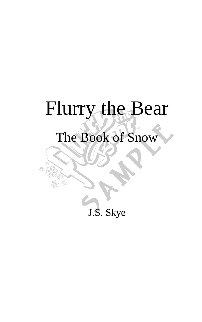# Flurry the Bear

## The Book of Snow

£<sup>0</sup>

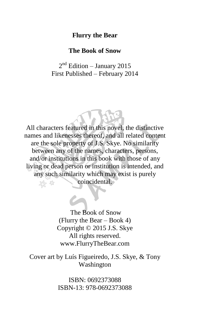#### **Flurry the Bear**

#### **The Book of Snow**

### $2<sup>nd</sup>$  Edition – January 2015 First Published – February 2014

All characters featured in this novel, the distinctive names and likenesses thereof, and all related content are the sole property of J.S. Skye. No similarity between any of the names, characters, persons, and/or institutions in this book with those of any living or dead person or institution is intended, and any such similarity which may exist is purely coincidental.

> The Book of Snow (Flurry the Bear – Book 4) Copyright © 2015 J.S. Skye All rights reserved. www.FlurryTheBear.com

Cover art by Luís Figueiredo, J.S. Skye, & Tony Washington

> ISBN: 0692373088 ISBN-13: 978-0692373088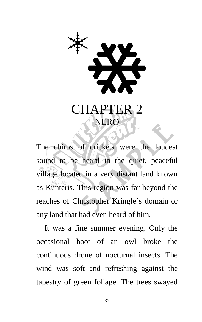

The chirps of crickets were the loudest sound to be heard in the quiet, peaceful village located in a very distant land known as Kunteris. This region was far beyond the reaches of Christopher Kringle's domain or any land that had even heard of him.

It was a fine summer evening. Only the occasional hoot of an owl broke the continuous drone of nocturnal insects. The wind was soft and refreshing against the tapestry of green foliage. The trees swayed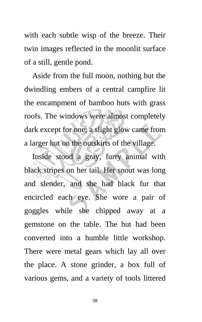with each subtle wisp of the breeze. Their twin images reflected in the moonlit surface of a still, gentle pond.

Aside from the full moon, nothing but the dwindling embers of a central campfire lit the encampment of bamboo huts with grass roofs. The windows were almost completely dark except for one; a slight glow came from a larger hut on the outskirts of the village.

Inside stood a gray, furry animal with black stripes on her tail. Her snout was long and slender, and she had black fur that encircled each eye. She wore a pair of goggles while she chipped away at a gemstone on the table. The hut had been converted into a humble little workshop. There were metal gears which lay all over the place. A stone grinder, a box full of various gems, and a variety of tools littered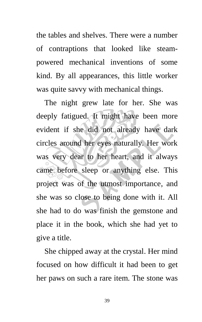the tables and shelves. There were a number of contraptions that looked like steampowered mechanical inventions of some kind. By all appearances, this little worker was quite savvy with mechanical things.

The night grew late for her. She was deeply fatigued. It might have been more evident if she did not already have dark circles around her eyes naturally. Her work was very dear to her heart, and it always came before sleep or anything else. This project was of the utmost importance, and she was so close to being done with it. All she had to do was finish the gemstone and place it in the book, which she had yet to give a title.

She chipped away at the crystal. Her mind focused on how difficult it had been to get her paws on such a rare item. The stone was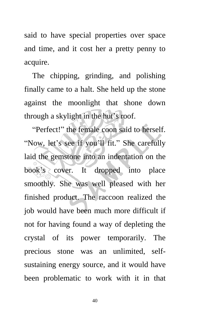said to have special properties over space and time, and it cost her a pretty penny to acquire.

The chipping, grinding, and polishing finally came to a halt. She held up the stone against the moonlight that shone down through a skylight in the hut's roof.

"Perfect!" the female coon said to herself. "Now, let's see if you'll fit." She carefully laid the gemstone into an indentation on the book's cover. It dropped into place smoothly. She was well pleased with her finished product. The raccoon realized the job would have been much more difficult if not for having found a way of depleting the crystal of its power temporarily. The precious stone was an unlimited, selfsustaining energy source, and it would have been problematic to work with it in that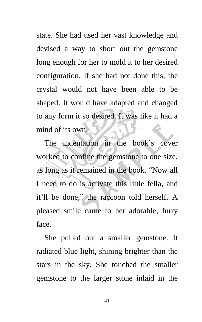state. She had used her vast knowledge and devised a way to short out the gemstone long enough for her to mold it to her desired configuration. If she had not done this, the crystal would not have been able to be shaped. It would have adapted and changed to any form it so desired. It was like it had a mind of its own.

The indentation in the book's cover worked to confine the gemstone to one size, as long as it remained in the book. "Now all I need to do is activate this little fella, and it'll be done," the raccoon told herself. A pleased smile came to her adorable, furry face.

She pulled out a smaller gemstone. It radiated blue light, shining brighter than the stars in the sky. She touched the smaller gemstone to the larger stone inlaid in the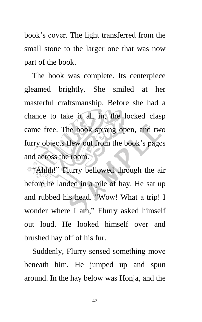book's cover. The light transferred from the small stone to the larger one that was now part of the book.

The book was complete. Its centerpiece gleamed brightly. She smiled at her masterful craftsmanship. Before she had a chance to take it all in, the locked clasp came free. The book sprang open, and two furry objects flew out from the book's pages and across the room.

"Ahhh!" Flurry bellowed through the air before he landed in a pile of hay. He sat up and rubbed his head. "Wow! What a trip! I wonder where I am," Flurry asked himself out loud. He looked himself over and brushed hay off of his fur.

Suddenly, Flurry sensed something move beneath him. He jumped up and spun around. In the hay below was Honja, and the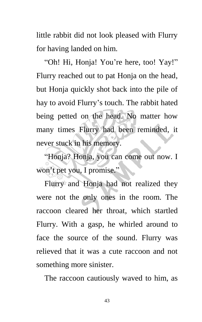little rabbit did not look pleased with Flurry for having landed on him.

"Oh! Hi, Honja! You're here, too! Yay!" Flurry reached out to pat Honja on the head, but Honja quickly shot back into the pile of hay to avoid Flurry's touch. The rabbit hated being petted on the head. No matter how many times Flurry had been reminded, it never stuck in his memory.

"Honja? Honja, you can come out now. I won't pet you, I promise."

Flurry and Honja had not realized they were not the only ones in the room. The raccoon cleared her throat, which startled Flurry. With a gasp, he whirled around to face the source of the sound. Flurry was relieved that it was a cute raccoon and not something more sinister.

The raccoon cautiously waved to him, as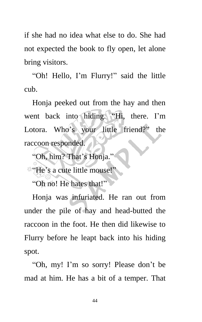if she had no idea what else to do. She had not expected the book to fly open, let alone bring visitors.

"Oh! Hello, I'm Flurry!" said the little cub.

Honja peeked out from the hay and then went back into hiding. "Hi, there. I'm Lotora. Who's your little friend?" the raccoon responded.

"Oh, him? That's Honja."

"He's a cute little mouse!"

"Oh no! He hates that!"

Honja was infuriated. He ran out from under the pile of hay and head-butted the raccoon in the foot. He then did likewise to Flurry before he leapt back into his hiding spot.

"Oh, my! I'm so sorry! Please don't be mad at him. He has a bit of a temper. That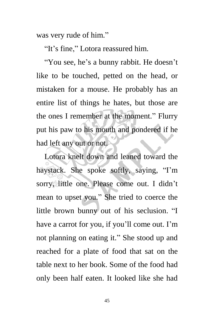was very rude of him."

"It's fine," Lotora reassured him.

"You see, he's a bunny rabbit. He doesn't like to be touched, petted on the head, or mistaken for a mouse. He probably has an entire list of things he hates, but those are the ones I remember at the moment." Flurry put his paw to his mouth and pondered if he had left any out or not.

Lotora knelt down and leaned toward the haystack. She spoke softly, saying, "I'm sorry, little one. Please come out. I didn't mean to upset you." She tried to coerce the little brown bunny out of his seclusion. "I have a carrot for you, if you'll come out. I'm not planning on eating it." She stood up and reached for a plate of food that sat on the table next to her book. Some of the food had only been half eaten. It looked like she had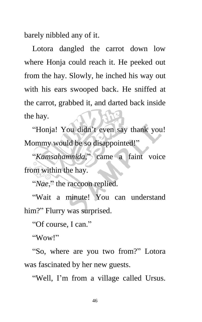barely nibbled any of it.

Lotora dangled the carrot down low where Honja could reach it. He peeked out from the hay. Slowly, he inched his way out with his ears swooped back. He sniffed at the carrot, grabbed it, and darted back inside the hay.

"Honja! You didn't even say thank you! Mommy would be so disappointed!"

"*Kamsahamnida,*" came a faint voice from within the hay.

"*Nae*," the raccoon replied.

"Wait a minute! You can understand him?" Flurry was surprised.

"Of course, I can."

"Wow!"

"So, where are you two from?" Lotora was fascinated by her new guests.

"Well, I'm from a village called Ursus.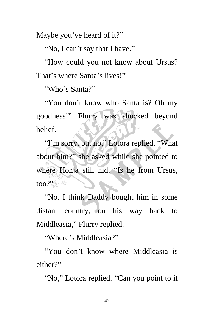Maybe you've heard of it?"

"No, I can't say that I have."

"How could you not know about Ursus? That's where Santa's lives!"

"Who's Santa?"

"You don't know who Santa is? Oh my goodness!" Flurry was shocked beyond belief.

"I'm sorry, but no," Lotora replied. "What about him?" she asked while she pointed to where Honja still hid. "Is he from Ursus, too?".  $*$ 

"No. I think Daddy bought him in some distant country, on his way back to Middleasia," Flurry replied.

"Where's Middleasia?"

"You don't know where Middleasia is either?"

"No," Lotora replied. "Can you point to it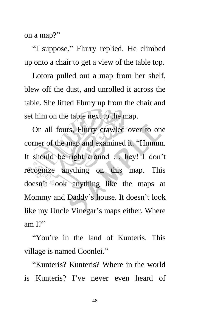on a map?"

"I suppose," Flurry replied. He climbed up onto a chair to get a view of the table top.

Lotora pulled out a map from her shelf, blew off the dust, and unrolled it across the table. She lifted Flurry up from the chair and set him on the table next to the map.

On all fours, Flurry crawled over to one corner of the map and examined it. "Hmmm. It should be right around … hey! I don't recognize anything on this map. This doesn't look anything like the maps at Mommy and Daddy's house. It doesn't look like my Uncle Vinegar's maps either. Where am I?"

"You're in the land of Kunteris. This village is named Coonlei."

"Kunteris? Kunteris? Where in the world is Kunteris? I've never even heard of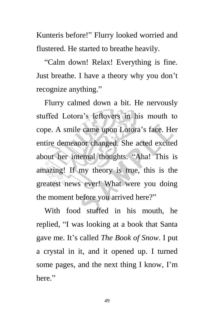Kunteris before!" Flurry looked worried and flustered. He started to breathe heavily.

"Calm down! Relax! Everything is fine. Just breathe. I have a theory why you don't recognize anything."

Flurry calmed down a bit. He nervously stuffed Lotora's leftovers in his mouth to cope. A smile came upon Lotora's face. Her entire demeanor changed. She acted excited about her internal thoughts. "Aha! This is amazing! If my theory is true, this is the greatest news ever! What were you doing the moment before you arrived here?"

With food stuffed in his mouth, he replied, "I was looking at a book that Santa gave me. It's called *The Book of Snow*. I put a crystal in it, and it opened up. I turned some pages, and the next thing I know, I'm here."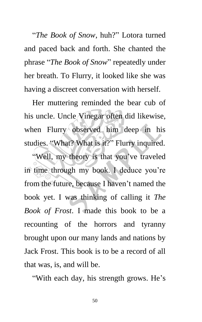"*The Book of Snow*, huh?" Lotora turned and paced back and forth. She chanted the phrase "*The Book of Snow*" repeatedly under her breath. To Flurry, it looked like she was having a discreet conversation with herself.

Her muttering reminded the bear cub of his uncle. Uncle Vinegar often did likewise, when Flurry observed him deep in his studies. "What? What is it?" Flurry inquired.

"Well, my theory is that you've traveled in time through my book. I deduce you're from the future, because I haven't named the book yet. I was thinking of calling it *The Book of Frost*. I made this book to be a recounting of the horrors and tyranny brought upon our many lands and nations by Jack Frost. This book is to be a record of all that was, is, and will be.

"With each day, his strength grows. He's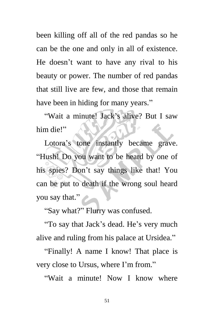been killing off all of the red pandas so he can be the one and only in all of existence. He doesn't want to have any rival to his beauty or power. The number of red pandas that still live are few, and those that remain have been in hiding for many years."

"Wait a minute! Jack's alive? But I saw him die!"

Lotora's tone instantly became grave. "Hush! Do you want to be heard by one of his spies? Don't say things like that! You can be put to death if the wrong soul heard you say that."

"Say what?" Flurry was confused.

"To say that Jack's dead. He's very much alive and ruling from his palace at Ursidea."

"Finally! A name I know! That place is very close to Ursus, where I'm from."

"Wait a minute! Now I know where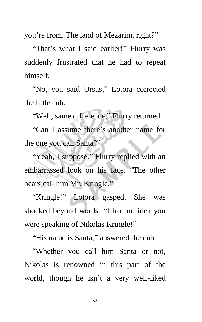you're from. The land of Mezarim, right?"

"That's what I said earlier!" Flurry was suddenly frustrated that he had to repeat himself.

"No, you said Ursus," Lotora corrected the little cub.

"Well, same difference," Flurry returned.

"Can I assume there's another name for the one you call Santa?"

"Yeah, I suppose," Flurry replied with an embarrassed look on his face. "The other bears call him Mr. Kringle."

"Kringle!" Lotora gasped. She was shocked beyond words. "I had no idea you were speaking of Nikolas Kringle!"

"His name is Santa," answered the cub.

"Whether you call him Santa or not, Nikolas is renowned in this part of the world, though he isn't a very well-liked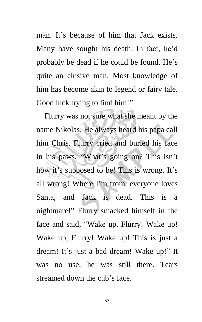man. It's because of him that Jack exists. Many have sought his death. In fact, he'd probably be dead if he could be found. He's quite an elusive man. Most knowledge of him has become akin to legend or fairy tale. Good luck trying to find him!"

Flurry was not sure what she meant by the name Nikolas. He always heard his papa call him Chris. Flurry cried and buried his face in his paws. "What's going on? This isn't how it's supposed to be! This is wrong. It's all wrong! Where I'm from, everyone loves Santa, and Jack is dead. This is a nightmare!" Flurry smacked himself in the face and said, "Wake up, Flurry! Wake up! Wake up, Flurry! Wake up! This is just a dream! It's just a bad dream! Wake up!" It was no use; he was still there. Tears streamed down the cub's face.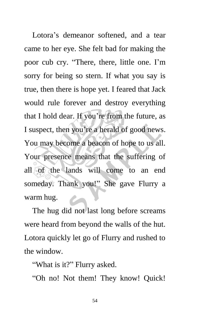Lotora's demeanor softened, and a tear came to her eye. She felt bad for making the poor cub cry. "There, there, little one. I'm sorry for being so stern. If what you say is true, then there is hope yet. I feared that Jack would rule forever and destroy everything that I hold dear. If you're from the future, as I suspect, then you're a herald of good news. You may become a beacon of hope to us all. Your presence means that the suffering of all of the lands will come to an end someday. Thank you!" She gave Flurry a warm hug.

The hug did not last long before screams were heard from beyond the walls of the hut. Lotora quickly let go of Flurry and rushed to the window.

"What is it?" Flurry asked.

"Oh no! Not them! They know! Quick!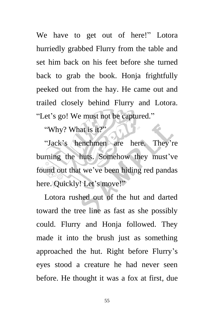We have to get out of here!" Lotora hurriedly grabbed Flurry from the table and set him back on his feet before she turned back to grab the book. Honja frightfully peeked out from the hay. He came out and trailed closely behind Flurry and Lotora. "Let's go! We must not be captured."

"Why? What is it?"

"Jack's henchmen are here. They're burning the huts. Somehow they must've found out that we've been hiding red pandas here. Quickly! Let's move!"

Lotora rushed out of the hut and darted toward the tree line as fast as she possibly could. Flurry and Honja followed. They made it into the brush just as something approached the hut. Right before Flurry's eyes stood a creature he had never seen before. He thought it was a fox at first, due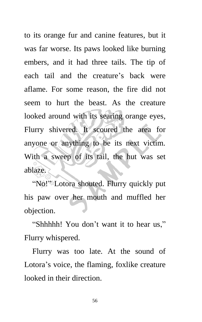to its orange fur and canine features, but it was far worse. Its paws looked like burning embers, and it had three tails. The tip of each tail and the creature's back were aflame. For some reason, the fire did not seem to hurt the beast. As the creature looked around with its searing orange eyes, Flurry shivered. It scoured the area for anyone or anything to be its next victim. With a sweep of its tail, the hut was set ablaze.

"No!" Lotora shouted. Flurry quickly put his paw over her mouth and muffled her objection.

"Shhhhh! You don't want it to hear us," Flurry whispered.

Flurry was too late. At the sound of Lotora's voice, the flaming, foxlike creature looked in their direction.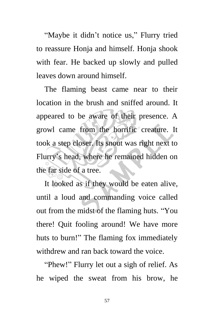"Maybe it didn't notice us," Flurry tried to reassure Honja and himself. Honja shook with fear. He backed up slowly and pulled leaves down around himself.

The flaming beast came near to their location in the brush and sniffed around. It appeared to be aware of their presence. A growl came from the horrific creature. It took a step closer. Its snout was right next to Flurry's head, where he remained hidden on the far side of a tree.

It looked as if they would be eaten alive, until a loud and commanding voice called out from the midst of the flaming huts. "You there! Quit fooling around! We have more huts to burn!" The flaming fox immediately withdrew and ran back toward the voice.

"Phew!" Flurry let out a sigh of relief. As he wiped the sweat from his brow, he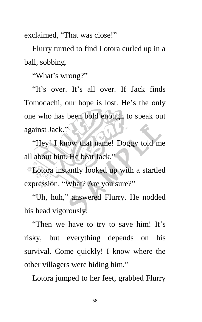exclaimed, "That was close!"

Flurry turned to find Lotora curled up in a ball, sobbing.

"What's wrong?"

"It's over. It's all over. If Jack finds Tomodachi, our hope is lost. He's the only one who has been bold enough to speak out against Jack."

"Hey! I know that name! Doggy told me all about him. He beat Jack."

Lotora instantly looked up with a startled expression. "What? Are you sure?"

"Uh, huh," answered Flurry. He nodded his head vigorously.

"Then we have to try to save him! It's risky, but everything depends on his survival. Come quickly! I know where the other villagers were hiding him."

Lotora jumped to her feet, grabbed Flurry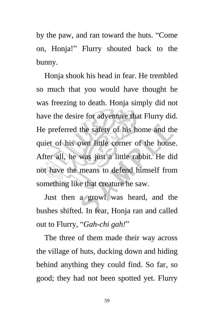by the paw, and ran toward the huts. "Come on, Honja!" Flurry shouted back to the bunny.

Honja shook his head in fear. He trembled so much that you would have thought he was freezing to death. Honja simply did not have the desire for adventure that Flurry did. He preferred the safety of his home and the quiet of his own little corner of the house. After all, he was just a little rabbit. He did not have the means to defend himself from something like that creature he saw.

Just then a growl was heard, and the bushes shifted. In fear, Honja ran and called out to Flurry, "*Gah-chi gah!*"

The three of them made their way across the village of huts, ducking down and hiding behind anything they could find. So far, so good; they had not been spotted yet. Flurry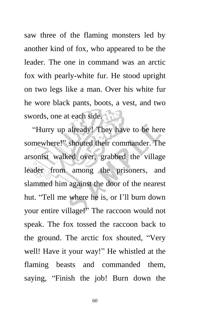saw three of the flaming monsters led by another kind of fox, who appeared to be the leader. The one in command was an arctic fox with pearly-white fur. He stood upright on two legs like a man. Over his white fur he wore black pants, boots, a vest, and two swords, one at each side.

"Hurry up already! They have to be here somewhere!" shouted their commander. The arsonist walked over, grabbed the village leader from among the prisoners, and slammed him against the door of the nearest hut. "Tell me where he is, or I'll burn down your entire village!" The raccoon would not speak. The fox tossed the raccoon back to the ground. The arctic fox shouted, "Very well! Have it your way!" He whistled at the flaming beasts and commanded them, saying, "Finish the job! Burn down the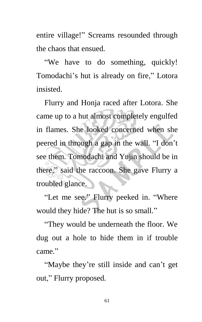entire village!" Screams resounded through the chaos that ensued.

"We have to do something, quickly! Tomodachi's hut is already on fire," Lotora insisted.

Flurry and Honja raced after Lotora. She came up to a hut almost completely engulfed in flames. She looked concerned when she peered in through a gap in the wall. "I don't see them. Tomodachi and Yujin should be in there," said the raccoon. She gave Flurry a troubled glance.

"Let me see." Flurry peeked in. "Where would they hide? The hut is so small."

"They would be underneath the floor. We dug out a hole to hide them in if trouble came."

"Maybe they're still inside and can't get out," Flurry proposed.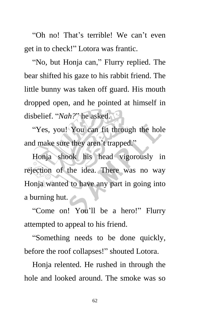"Oh no! That's terrible! We can't even get in to check!" Lotora was frantic.

"No, but Honja can," Flurry replied. The bear shifted his gaze to his rabbit friend. The little bunny was taken off guard. His mouth dropped open, and he pointed at himself in disbelief. "*Nah?*" he asked.

"Yes, you! You can fit through the hole and make sure they aren't trapped."

Honja shook his head vigorously in rejection of the idea. There was no way Honja wanted to have any part in going into a burning hut.

"Come on! You'll be a hero!" Flurry attempted to appeal to his friend.

"Something needs to be done quickly, before the roof collapses!" shouted Lotora.

Honja relented. He rushed in through the hole and looked around. The smoke was so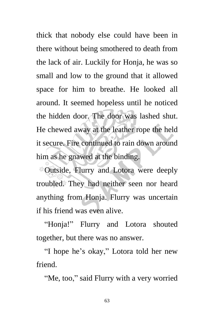thick that nobody else could have been in there without being smothered to death from the lack of air. Luckily for Honja, he was so small and low to the ground that it allowed space for him to breathe. He looked all around. It seemed hopeless until he noticed the hidden door. The door was lashed shut. He chewed away at the leather rope the held it secure. Fire continued to rain down around him as he gnawed at the binding.

Outside, Flurry and Lotora were deeply troubled. They had neither seen nor heard anything from Honja. Flurry was uncertain if his friend was even alive.

"Honja!" Flurry and Lotora shouted together, but there was no answer.

"I hope he's okay," Lotora told her new friend.

"Me, too," said Flurry with a very worried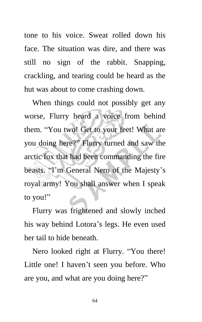tone to his voice. Sweat rolled down his face. The situation was dire, and there was still no sign of the rabbit. Snapping, crackling, and tearing could be heard as the hut was about to come crashing down.

When things could not possibly get any worse, Flurry heard a voice from behind them. "You two! Get to your feet! What are you doing here?" Flurry turned and saw the arctic fox that had been commanding the fire beasts. "I'm General Nero of the Majesty's royal army! You shall answer when I speak to you!"

Flurry was frightened and slowly inched his way behind Lotora's legs. He even used her tail to hide beneath.

Nero looked right at Flurry. "You there! Little one! I haven't seen you before. Who are you, and what are you doing here?"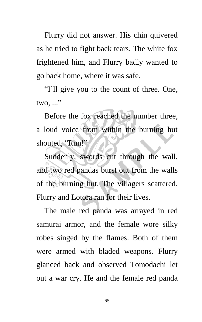Flurry did not answer. His chin quivered as he tried to fight back tears. The white fox frightened him, and Flurry badly wanted to go back home, where it was safe.

"I'll give you to the count of three. One,  $two, ...$ "

Before the fox reached the number three, a loud voice from within the burning hut shouted, "Run!"

Suddenly, swords cut through the wall, and two red pandas burst out from the walls of the burning hut. The villagers scattered. Flurry and Lotora ran for their lives.

The male red panda was arrayed in red samurai armor, and the female wore silky robes singed by the flames. Both of them were armed with bladed weapons. Flurry glanced back and observed Tomodachi let out a war cry. He and the female red panda